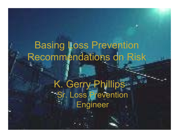# Basing Loss Prevention Recommendations on Risk

K. Gerry Phillips Sr. Loss Prevention **Engineer**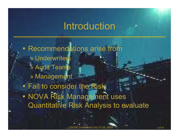#### Introduction



• Recommendations arise from » Underwriters » Audit Teams » Management • Fail to consider the Risk  $\bullet$ • NOVA Risk Management uses Quantitative Risk Analysis to evaluate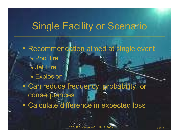## Single Facility or Scenario

- Recommendation aimed at single event » Pool fire » Jet Fire » Explosion  $\bullet$ • Can reduce frequency, probability, or consequences
- $\bullet$ Calculate difference in expected loss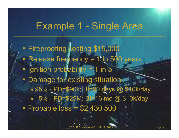## Example 1 - Single Area

- $\bullet$ • Fireproofing costing \$15,000
- $\bullet$ • Release frequency = 1 in 500 years
- Ignition probability = 1 in 5
- $\bullet$  Damage for existing situation
	- » 95% PD=\$90k; BI=90 days @ \$10k/day
	- » 5% PD=\$25M; BI=16 mo @ \$10k/day
- $\bullet$ • Probable loss = \$2,430,500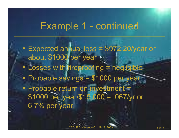### Example 1 - continued

- $\bullet$  Expected annual loss = \$972.20/year or about \$1000 per year - $\bullet$ • Losses with fireproofing = negligible  $\bullet$ Probable savings = \$1000 per year
- Probable return on investment = \$1000 per year/\$15,000 = .067/yr or 6.7% per year.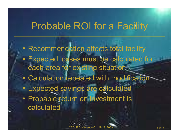## Probable ROI for a Facility

- $\bullet$ • Recommendation affects total facility
- $\bullet$  Expected losses must be calculated for each area for existing situation
- $\bullet$ Calculation repeated with modification
- Expected savings are calculated
- Probable return on investment is calculated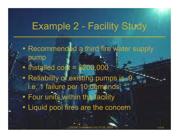## Example 2 - Facility Study

- $\bullet$ • Recommended a third fire water supply pump
- $\bullet$ • Installed cost = \$200,000
- $\bullet$ • Reliability of existing pumps is .9 i.e. 1 failure per 10 demands
- $\bullet$ • Four units within the facility
- $\bullet$ Liquid pool fires are the concern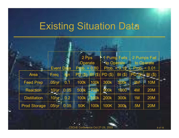## Existing Situation Data

|                     |                   |      | 2 Pps                            |             | 1 1 Pump Fails      |                  |                | 2 Pumps Fail                 |
|---------------------|-------------------|------|----------------------------------|-------------|---------------------|------------------|----------------|------------------------------|
|                     | <b>Event Data</b> |      | <b>Operate</b><br>$Prob. = 0.80$ |             | <b>I</b> to Operate | $Prob. = 0.19 -$ |                | to Operate<br>$Prob. = 0.01$ |
| <b>Area</b>         | Freq              | lan  | PD(3)                            | B(          | $\vert$ PD $(\$)$   | BI(\$)           | $PD(3)$ BI(\$) |                              |
| <b>Feed Prep</b>    | .05/yr            | 0.1  | <b>100k</b>                      | <b>100k</b> | 300k                | 500K             | 2M             | <b>10M</b>                   |
| <b>Reaction</b>     | $.10$ /yr         | 0.05 | 500k 700k                        |             | 900k                | 1000             | 4M             | <b>20M</b>                   |
| <b>Distillation</b> | $.10/\sqrt{yr}$   | 0.2  | <b>100k</b>                      | 0k          | <b>200k</b>         | <b>300k</b>      | 1 <sub>M</sub> | <b>20M</b>                   |
| <b>Prod Storage</b> | .05/yr            | 0.05 | <b>50K</b>                       | <b>100k</b> | <b>100K</b>         | 300k             | .5M            | <b>20M</b>                   |

▅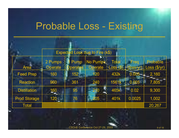### Probable Loss - Existing

|                     |                    |                 | Expected Loss due to Fire (k\$) |                             |                    |                           |
|---------------------|--------------------|-----------------|---------------------------------|-----------------------------|--------------------|---------------------------|
| <b>Area</b>         | 2 Pumps<br>Operate | Pump<br>perates | n e<br>No Pumps<br>erate        | <b>Total</b><br>$Loss($ \$) | Freq<br>(fires/yr) | Probable<br>Loss ( \$/yr) |
| <b>Feed Prep</b>    | 160                | 152             | 120                             | 432k                        | $0.005 -$          | 2,160                     |
| <b>Reaction</b>     | 960                | 361             | 240                             | 1561k                       | 0.005              | 7,805                     |
| <b>Distillation</b> | 160                | 95              | 210                             | 465k                        | 0.02<br>TH.        | 9,300                     |
| <b>Prod Storage</b> | $120 -$            | 76              | 205                             | 401k                        | 0.0025             | 1,002                     |
| <b>Total</b>        |                    |                 |                                 |                             |                    | 20,267                    |

ш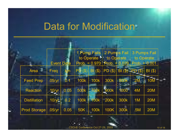### Data for Modification

|  |                     |                   |                  |                  | 2 Pumps Fail<br>1 Pump Fails<br>to Operate $\blacksquare$ to Operate |             |                                  |                | <b>3 Pumps Fail</b><br>to Operate |
|--|---------------------|-------------------|------------------|------------------|----------------------------------------------------------------------|-------------|----------------------------------|----------------|-----------------------------------|
|  |                     | <b>Event Data</b> |                  |                  | $Prob. = 0.970$                                                      |             | $ Prob. = 0.029   Prob. = 0.001$ |                |                                   |
|  | н<br><b>Area</b>    | Freq              | <b>Ich</b>       | <b>PD</b><br>(3) | BI(\$)                                                               | PD(\$)      | $BI(3)$ PD $(3)$                 |                | $BI($ \$)                         |
|  | <b>Feed Prep</b>    | .05/yr            | $\overline{0.1}$ | <b>100k</b>      | <b>100k</b>                                                          | 300k        | $-500k$                          | $-2M$          | 10M                               |
|  | <b>Reaction</b>     | .10/yr            | 0.05             | 500k             | <b>700k 900k</b>                                                     |             | 1000                             | <b>4M</b>      | <b>20M</b>                        |
|  | <b>Distillation</b> | $.10$ /yc         | 0.2              |                  | 100k 100k                                                            | <b>200k</b> | 300k                             | 1 <sub>M</sub> | <b>20M</b>                        |
|  | <b>Prod Storage</b> | .05/yr            | 0.05             | 50K              | <b>100k</b>                                                          | 100K        | 300k                             | .5M            | <b>20M</b>                        |

m.

×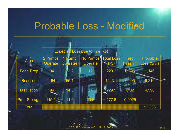#### Probable Loss - Modified

|                     |                    | <b>Expected</b>                | Loss due to Fire (k\$)                      |                      |                     |                          |
|---------------------|--------------------|--------------------------------|---------------------------------------------|----------------------|---------------------|--------------------------|
| <b>Area</b>         | 2 Pumps<br>Operate | <b>Pump</b><br><b>Operates</b> | No Pumps <sup>H</sup> Total Loss<br>Operate | $\blacksquare$ (k\$) | Freq.<br>(fires/yr) | Probable<br>Loss (\$/yr) |
| <b>Feed Prep</b>    | 194                | 3.2                            | 12                                          | 229.2                | 0.005               | 1,146                    |
| <b>Reaction</b>     | 1164               | 55.1                           | 24                                          | 1243.1               | 0.005               | 6,216                    |
| <b>Distillation</b> | 194                | 14.5                           | 21                                          | $-229.5$             | 0.02                | 4,590                    |
| <b>Prod Storage</b> | $145.5 -$          | 11.6                           | 20.5                                        | 177.6<br>m.          | 0.0025              | 444                      |
| <b>Total</b>        |                    |                                |                                             |                      |                     | 12,396                   |

▅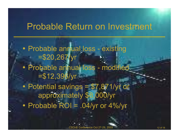#### Probable Return on Investment

• Probable annual loss - existing =\$20,267/yr • Probable annual loss - modified  $= $12,396/yr$  $\bullet$ • Potential savings = \$7,871/yr or approximately \$8,000/yr  $\bullet$ Probable ROI = .04/yr or 4%/yr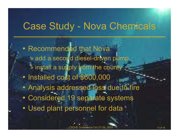## Case Study - Nova Chemicals

• Recommended that Nova » add a second diesel-driven pump » install a supply from the county  $\bullet$ • Installed cost of \$600,000  $\bullet$  Analysis addressed loss due to fire  $\bullet$ • Considered 19 separate systems  $\bullet$ Used plant personnel for data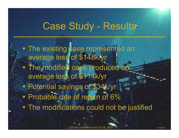## Case Study - Results

• The existing case represented an average loss of \$148k/yr  $\bullet$ • The modified case produced an average loss of \$114k/yr  $\bullet$  Potential savings of \$34k/yr • Probable rate of return of 6%  $\bullet$ The modifications could not be justified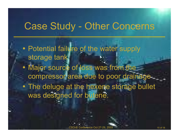### Case Study - Other Concerns

- $\bullet$ • Potential failure of the water supply storage tank.
- $\bullet$ • Major source of loss was from the compressor area due to poor drainage.
- The deluge at the hexene storage bullet was designed for butene.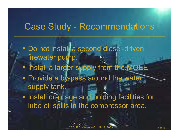#### Case Study - Recommendations

- Do not install a second diesel-driven firewater pump.
- $\bullet$ • Install a larger supply from the MOEE
- Provide a by-pass around the water supply tank.
- $\bullet$ • Install drainage and holding facilities for lube oil spills in the compressor area.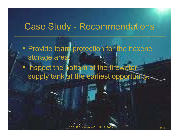#### Case Study - Recommendations

- $\bullet$ • Provide foam protection for the hexene storage area.
- $\bullet$ • Inspect the bottom of the firewater supply tank at the earliest opportunity.